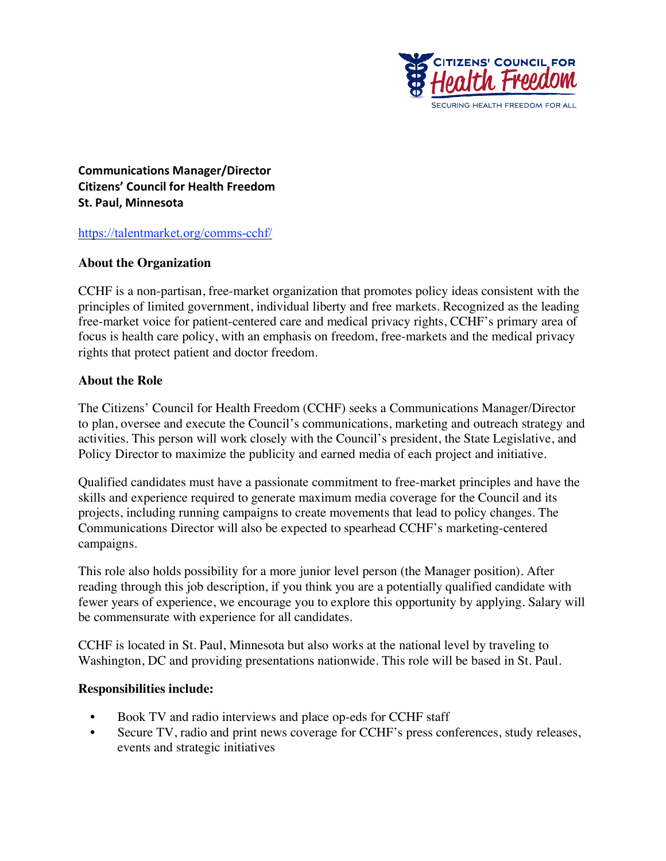

**Communications Manager/Director Citizens' Council for Health Freedom St. Paul, Minnesota**

https://talentmarket.org/comms-cchf/

# **About the Organization**

CCHF is a non-partisan, free-market organization that promotes policy ideas consistent with the principles of limited government, individual liberty and free markets. Recognized as the leading free-market voice for patient-centered care and medical privacy rights, CCHF's primary area of focus is health care policy, with an emphasis on freedom, free-markets and the medical privacy rights that protect patient and doctor freedom.

## **About the Role**

The Citizens' Council for Health Freedom (CCHF) seeks a Communications Manager/Director to plan, oversee and execute the Council's communications, marketing and outreach strategy and activities. This person will work closely with the Council's president, the State Legislative, and Policy Director to maximize the publicity and earned media of each project and initiative.

Qualified candidates must have a passionate commitment to free-market principles and have the skills and experience required to generate maximum media coverage for the Council and its projects, including running campaigns to create movements that lead to policy changes. The Communications Director will also be expected to spearhead CCHF's marketing-centered campaigns.

This role also holds possibility for a more junior level person (the Manager position). After reading through this job description, if you think you are a potentially qualified candidate with fewer years of experience, we encourage you to explore this opportunity by applying. Salary will be commensurate with experience for all candidates.

CCHF is located in St. Paul, Minnesota but also works at the national level by traveling to Washington, DC and providing presentations nationwide. This role will be based in St. Paul.

### **Responsibilities include:**

- Book TV and radio interviews and place op-eds for CCHF staff
- Secure TV, radio and print news coverage for CCHF's press conferences, study releases, events and strategic initiatives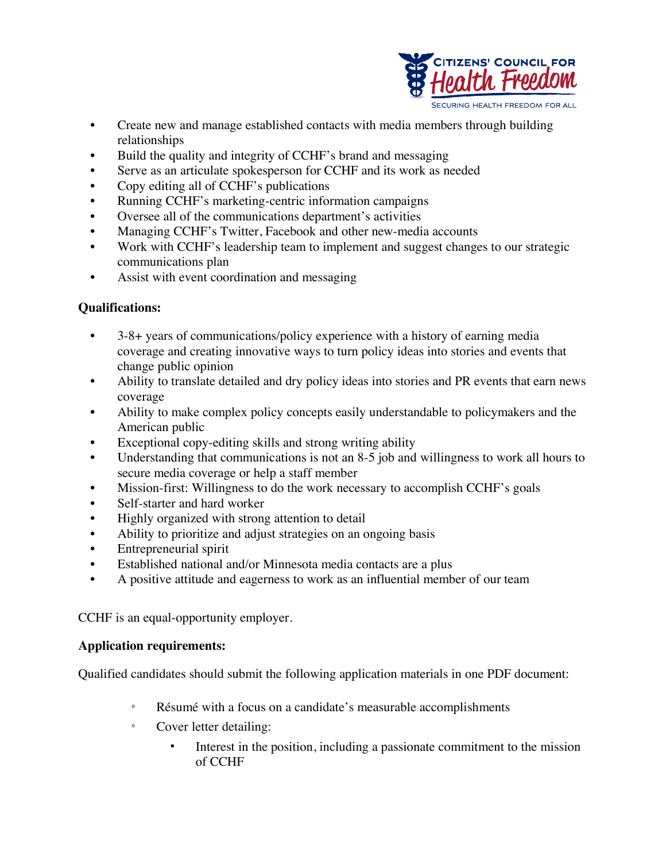

- Create new and manage established contacts with media members through building relationships
- Build the quality and integrity of CCHF's brand and messaging
- Serve as an articulate spokesperson for CCHF and its work as needed
- Copy editing all of CCHF's publications
- Running CCHF's marketing-centric information campaigns
- Oversee all of the communications department's activities
- Managing CCHF's Twitter, Facebook and other new-media accounts
- Work with CCHF's leadership team to implement and suggest changes to our strategic communications plan
- Assist with event coordination and messaging

# **Qualifications:**

- 3-8+ years of communications/policy experience with a history of earning media coverage and creating innovative ways to turn policy ideas into stories and events that change public opinion
- Ability to translate detailed and dry policy ideas into stories and PR events that earn news coverage
- Ability to make complex policy concepts easily understandable to policymakers and the American public
- Exceptional copy-editing skills and strong writing ability
- Understanding that communications is not an 8-5 job and willingness to work all hours to secure media coverage or help a staff member
- Mission-first: Willingness to do the work necessary to accomplish CCHF's goals
- Self-starter and hard worker
- Highly organized with strong attention to detail
- Ability to prioritize and adjust strategies on an ongoing basis
- Entrepreneurial spirit
- Established national and/or Minnesota media contacts are a plus
- A positive attitude and eagerness to work as an influential member of our team

CCHF is an equal-opportunity employer.

### **Application requirements:**

Qualified candidates should submit the following application materials in one PDF document:

- Résumé with a focus on a candidate's measurable accomplishments
- Cover letter detailing:
	- Interest in the position, including a passionate commitment to the mission of CCHF